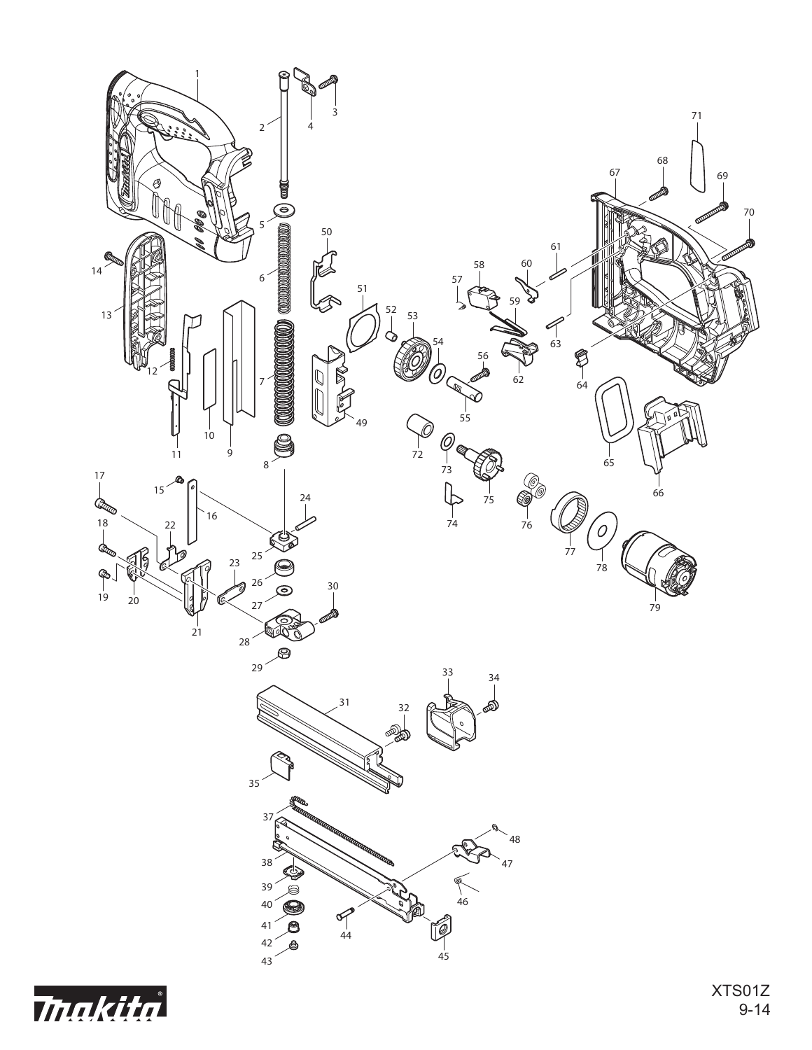

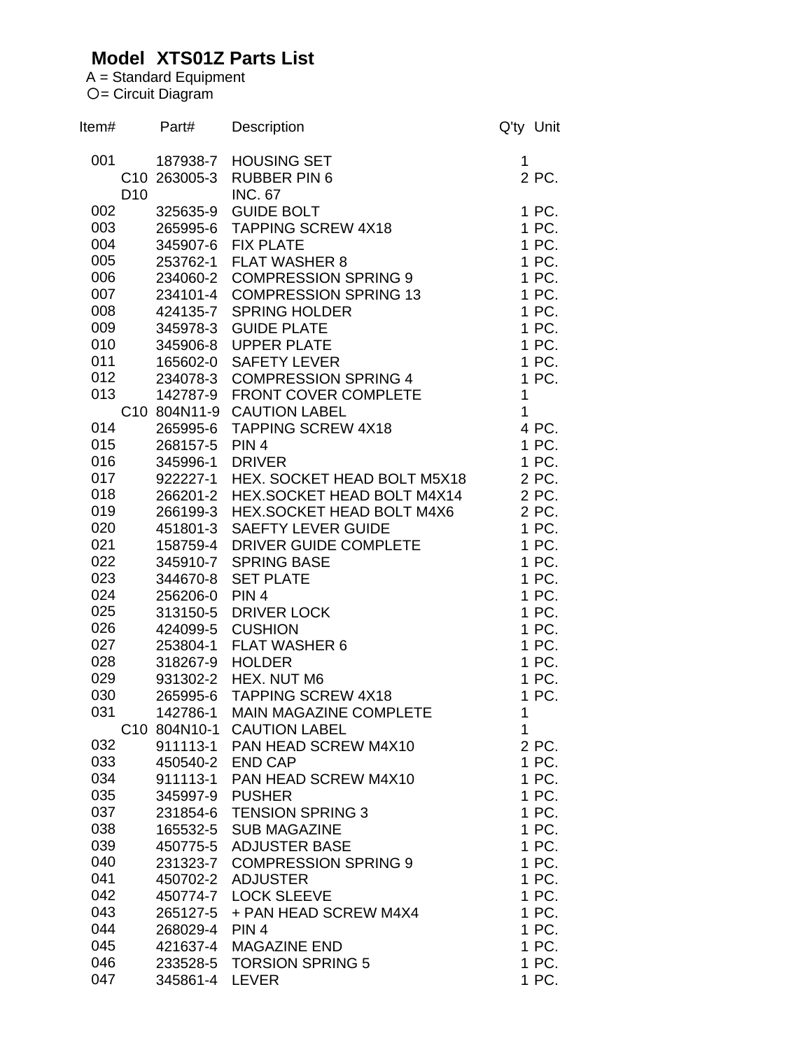## **Model XTS01Z Parts List**

A = Standard Equipment 〇= Circuit Diagram

| Item# |                 | Part#                    | Description                     | Q'ty Unit    |
|-------|-----------------|--------------------------|---------------------------------|--------------|
| 001   |                 | 187938-7                 | <b>HOUSING SET</b>              | 1            |
|       |                 | C <sub>10</sub> 263005-3 | <b>RUBBER PIN 6</b>             | 2 PC.        |
|       | D <sub>10</sub> |                          | <b>INC. 67</b>                  |              |
| 002   |                 | 325635-9                 | <b>GUIDE BOLT</b>               | 1 PC.        |
| 003   |                 |                          | 265995-6 TAPPING SCREW 4X18     | 1 PC.        |
| 004   |                 |                          | 345907-6 FIX PLATE              | 1 PC.        |
| 005   |                 |                          | 253762-1 FLAT WASHER 8          | 1 PC.        |
| 006   |                 |                          | 234060-2 COMPRESSION SPRING 9   | 1 PC.        |
| 007   |                 |                          | 234101-4 COMPRESSION SPRING 13  | 1 PC.        |
| 008   |                 | 424135-7                 | <b>SPRING HOLDER</b>            | 1 PC.        |
| 009   |                 | 345978-3                 | <b>GUIDE PLATE</b>              | 1 PC.        |
| 010   |                 | 345906-8                 | <b>UPPER PLATE</b>              | 1 PC.        |
| 011   |                 |                          | 165602-0 SAFETY LEVER           | 1 PC.        |
| 012   |                 |                          | 234078-3 COMPRESSION SPRING 4   | 1 PC.        |
| 013   |                 | 142787-9                 | FRONT COVER COMPLETE            | $\mathbf 1$  |
|       |                 |                          | C10 804N11-9 CAUTION LABEL      | $\mathbf{1}$ |
| 014   |                 | 265995-6                 | <b>TAPPING SCREW 4X18</b>       | 4 PC.        |
| 015   |                 | 268157-5                 | PIN <sub>4</sub>                | 1 PC.        |
| 016   |                 | 345996-1                 | <b>DRIVER</b>                   | 1 PC.        |
| 017   |                 | 922227-1                 | HEX. SOCKET HEAD BOLT M5X18     | 2 PC.        |
| 018   |                 | 266201-2                 | HEX.SOCKET HEAD BOLT M4X14      | 2 PC.        |
| 019   |                 | 266199-3                 | HEX.SOCKET HEAD BOLT M4X6       | 2 PC.        |
| 020   |                 | 451801-3                 | <b>SAEFTY LEVER GUIDE</b>       | 1 PC.        |
| 021   |                 |                          | 158759-4 DRIVER GUIDE COMPLETE  | 1 PC.        |
| 022   |                 |                          | 345910-7 SPRING BASE            | 1 PC.        |
| 023   |                 |                          | 344670-8 SET PLATE              | 1 PC.        |
| 024   |                 | 256206-0 PIN 4           |                                 | 1 PC.        |
| 025   |                 |                          | 313150-5 DRIVER LOCK            | 1 PC.        |
| 026   |                 |                          | 424099-5 CUSHION                | 1 PC.        |
| 027   |                 |                          | 253804-1 FLAT WASHER 6          | 1 PC.        |
| 028   |                 | 318267-9 HOLDER          |                                 | 1 PC.        |
| 029   |                 |                          | 931302-2 HEX. NUT M6            | 1 PC.        |
| 030   |                 |                          | 265995-6 TAPPING SCREW 4X18     | 1 PC.        |
| 031   |                 |                          | 142786-1 MAIN MAGAZINE COMPLETE | $\mathbf{1}$ |
|       |                 |                          | C10 804N10-1 CAUTION LABEL      | 1            |
| 032   |                 |                          | 911113-1 PAN HEAD SCREW M4X10   | 2 PC.        |
| 033   |                 | 450540-2 END CAP         |                                 | 1 PC.        |
| 034   |                 |                          | 911113-1 PAN HEAD SCREW M4X10   | 1 PC.        |
| 035   |                 | 345997-9 PUSHER          |                                 | 1 PC.        |
| 037   |                 |                          | 231854-6 TENSION SPRING 3       | 1 PC.        |
| 038   |                 | 165532-5                 | <b>SUB MAGAZINE</b>             | 1 PC.        |
| 039   |                 |                          | 450775-5 ADJUSTER BASE          | 1 PC.        |
| 040   |                 |                          | 231323-7 COMPRESSION SPRING 9   | 1 PC.        |
| 041   |                 |                          | 450702-2 ADJUSTER               | 1 PC.        |
| 042   |                 |                          | 450774-7 LOCK SLEEVE            | 1 PC.        |
| 043   |                 | 265127-5                 | + PAN HEAD SCREW M4X4           | 1 PC.        |
| 044   |                 | 268029-4 PIN 4           |                                 | 1 PC.        |
| 045   |                 |                          | 421637-4 MAGAZINE END           | 1 PC.        |
| 046   |                 |                          | 233528-5 TORSION SPRING 5       | 1 PC.        |
| 047   |                 | 345861-4 LEVER           |                                 | 1 PC.        |